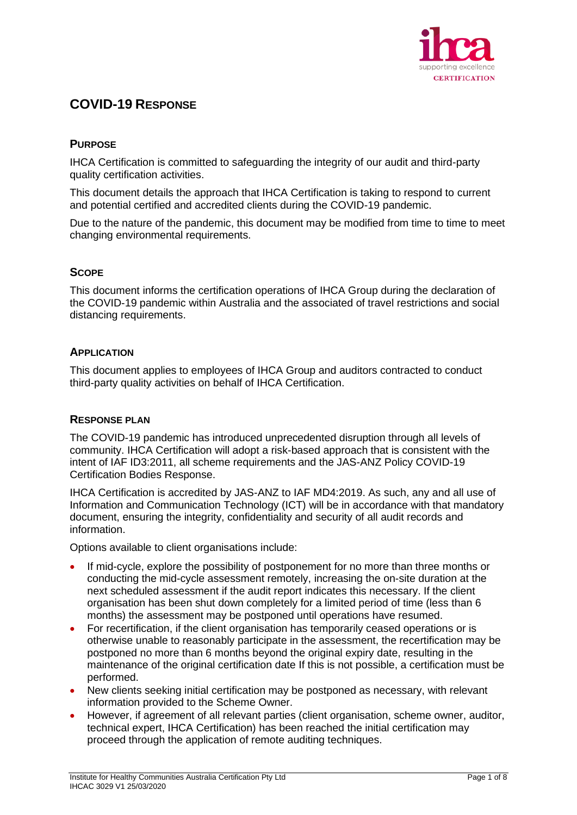

# **COVID-19 RESPONSE**

# **PURPOSE**

IHCA Certification is committed to safeguarding the integrity of our audit and third-party quality certification activities.

This document details the approach that IHCA Certification is taking to respond to current and potential certified and accredited clients during the COVID-19 pandemic.

Due to the nature of the pandemic, this document may be modified from time to time to meet changing environmental requirements.

## **SCOPE**

This document informs the certification operations of IHCA Group during the declaration of the COVID-19 pandemic within Australia and the associated of travel restrictions and social distancing requirements.

## **APPLICATION**

This document applies to employees of IHCA Group and auditors contracted to conduct third-party quality activities on behalf of IHCA Certification.

## **RESPONSE PLAN**

The COVID-19 pandemic has introduced unprecedented disruption through all levels of community. IHCA Certification will adopt a risk-based approach that is consistent with the intent of IAF ID3:2011, all scheme requirements and the JAS-ANZ Policy COVID-19 Certification Bodies Response.

IHCA Certification is accredited by JAS-ANZ to IAF MD4:2019. As such, any and all use of Information and Communication Technology (ICT) will be in accordance with that mandatory document, ensuring the integrity, confidentiality and security of all audit records and information.

Options available to client organisations include:

- If mid-cycle, explore the possibility of postponement for no more than three months or conducting the mid-cycle assessment remotely, increasing the on-site duration at the next scheduled assessment if the audit report indicates this necessary. If the client organisation has been shut down completely for a limited period of time (less than 6 months) the assessment may be postponed until operations have resumed.
- For recertification, if the client organisation has temporarily ceased operations or is otherwise unable to reasonably participate in the assessment, the recertification may be postponed no more than 6 months beyond the original expiry date, resulting in the maintenance of the original certification date If this is not possible, a certification must be performed.
- New clients seeking initial certification may be postponed as necessary, with relevant information provided to the Scheme Owner.
- However, if agreement of all relevant parties (client organisation, scheme owner, auditor, technical expert, IHCA Certification) has been reached the initial certification may proceed through the application of remote auditing techniques.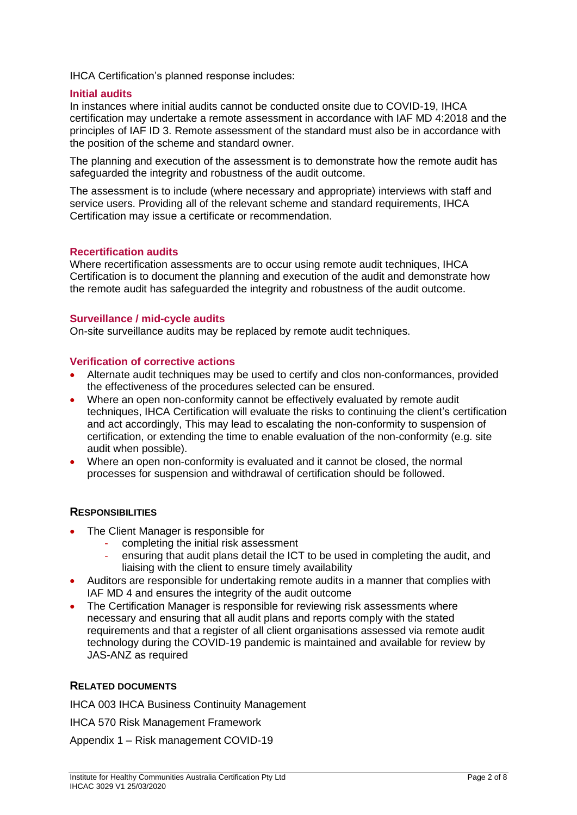IHCA Certification's planned response includes:

#### **Initial audits**

In instances where initial audits cannot be conducted onsite due to COVID-19, IHCA certification may undertake a remote assessment in accordance with IAF MD 4:2018 and the principles of IAF ID 3. Remote assessment of the standard must also be in accordance with the position of the scheme and standard owner.

The planning and execution of the assessment is to demonstrate how the remote audit has safeguarded the integrity and robustness of the audit outcome.

The assessment is to include (where necessary and appropriate) interviews with staff and service users. Providing all of the relevant scheme and standard requirements, IHCA Certification may issue a certificate or recommendation.

#### **Recertification audits**

Where recertification assessments are to occur using remote audit techniques, IHCA Certification is to document the planning and execution of the audit and demonstrate how the remote audit has safeguarded the integrity and robustness of the audit outcome.

#### **Surveillance / mid-cycle audits**

On-site surveillance audits may be replaced by remote audit techniques.

#### **Verification of corrective actions**

- Alternate audit techniques may be used to certify and clos non-conformances, provided the effectiveness of the procedures selected can be ensured.
- Where an open non-conformity cannot be effectively evaluated by remote audit techniques, IHCA Certification will evaluate the risks to continuing the client's certification and act accordingly, This may lead to escalating the non-conformity to suspension of certification, or extending the time to enable evaluation of the non-conformity (e.g. site audit when possible).
- Where an open non-conformity is evaluated and it cannot be closed, the normal processes for suspension and withdrawal of certification should be followed.

## **RESPONSIBILITIES**

- The Client Manager is responsible for
	- completing the initial risk assessment
	- ensuring that audit plans detail the ICT to be used in completing the audit, and liaising with the client to ensure timely availability
- Auditors are responsible for undertaking remote audits in a manner that complies with IAF MD 4 and ensures the integrity of the audit outcome
- The Certification Manager is responsible for reviewing risk assessments where necessary and ensuring that all audit plans and reports comply with the stated requirements and that a register of all client organisations assessed via remote audit technology during the COVID-19 pandemic is maintained and available for review by JAS-ANZ as required

## **RELATED DOCUMENTS**

IHCA 003 IHCA Business Continuity Management

IHCA 570 Risk Management Framework

Appendix 1 – Risk management COVID-19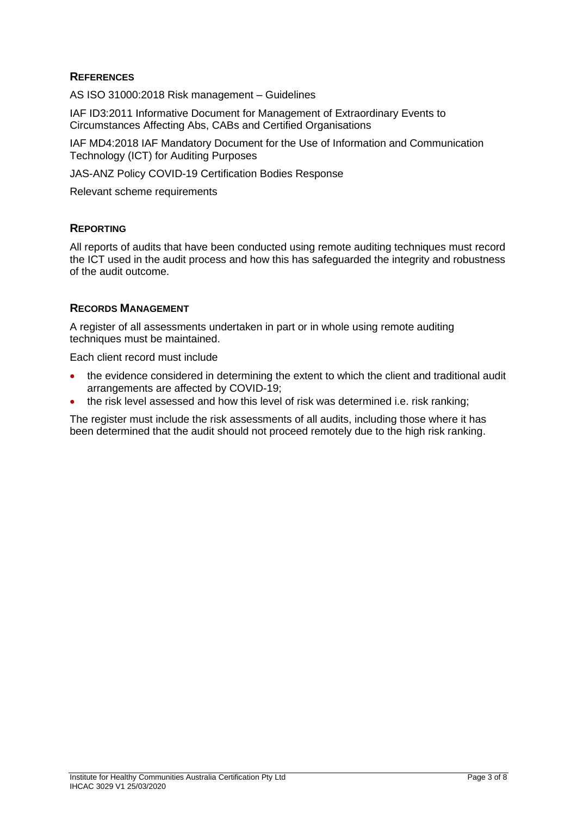# **REFERENCES**

AS ISO 31000:2018 Risk management – Guidelines

IAF ID3:2011 Informative Document for Management of Extraordinary Events to Circumstances Affecting Abs, CABs and Certified Organisations

IAF MD4:2018 IAF Mandatory Document for the Use of Information and Communication Technology (ICT) for Auditing Purposes

JAS-ANZ Policy COVID-19 Certification Bodies Response

Relevant scheme requirements

## **REPORTING**

All reports of audits that have been conducted using remote auditing techniques must record the ICT used in the audit process and how this has safeguarded the integrity and robustness of the audit outcome.

## **RECORDS MANAGEMENT**

A register of all assessments undertaken in part or in whole using remote auditing techniques must be maintained.

Each client record must include

- the evidence considered in determining the extent to which the client and traditional audit arrangements are affected by COVID-19;
- the risk level assessed and how this level of risk was determined i.e. risk ranking;

The register must include the risk assessments of all audits, including those where it has been determined that the audit should not proceed remotely due to the high risk ranking.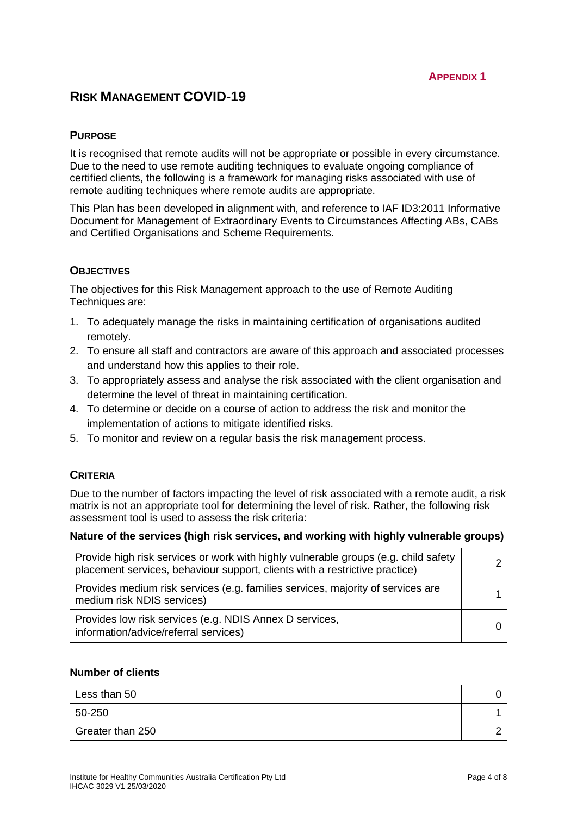# **RISK MANAGEMENT COVID-19**

## **PURPOSE**

It is recognised that remote audits will not be appropriate or possible in every circumstance. Due to the need to use remote auditing techniques to evaluate ongoing compliance of certified clients, the following is a framework for managing risks associated with use of remote auditing techniques where remote audits are appropriate.

This Plan has been developed in alignment with, and reference to IAF ID3:2011 Informative Document for Management of Extraordinary Events to Circumstances Affecting ABs, CABs and Certified Organisations and Scheme Requirements.

## **OBJECTIVES**

The objectives for this Risk Management approach to the use of Remote Auditing Techniques are:

- 1. To adequately manage the risks in maintaining certification of organisations audited remotely.
- 2. To ensure all staff and contractors are aware of this approach and associated processes and understand how this applies to their role.
- 3. To appropriately assess and analyse the risk associated with the client organisation and determine the level of threat in maintaining certification.
- 4. To determine or decide on a course of action to address the risk and monitor the implementation of actions to mitigate identified risks.
- 5. To monitor and review on a regular basis the risk management process.

## **CRITERIA**

Due to the number of factors impacting the level of risk associated with a remote audit, a risk matrix is not an appropriate tool for determining the level of risk. Rather, the following risk assessment tool is used to assess the risk criteria:

#### **Nature of the services (high risk services, and working with highly vulnerable groups)**

| Provide high risk services or work with highly vulnerable groups (e.g. child safety<br>placement services, behaviour support, clients with a restrictive practice) |  |
|--------------------------------------------------------------------------------------------------------------------------------------------------------------------|--|
| Provides medium risk services (e.g. families services, majority of services are<br>medium risk NDIS services)                                                      |  |
| Provides low risk services (e.g. NDIS Annex D services,<br>information/advice/referral services)                                                                   |  |

## **Number of clients**

| Less than 50     |  |
|------------------|--|
| 50-250           |  |
| Greater than 250 |  |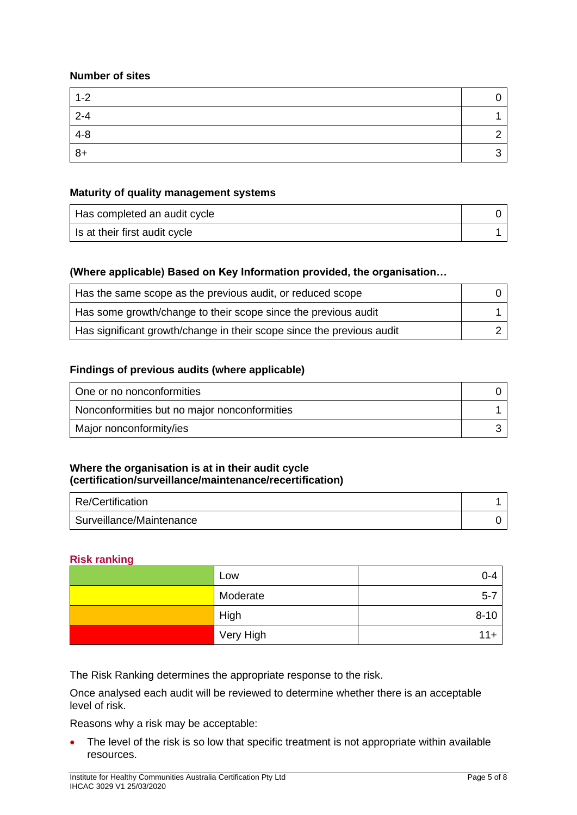## **Number of sites**

| $1 - 2$ |  |
|---------|--|
| $2 - 4$ |  |
| $4 - 8$ |  |
| $8+$    |  |

## **Maturity of quality management systems**

| Has completed an audit cycle  |  |
|-------------------------------|--|
| Is at their first audit cycle |  |

## **(Where applicable) Based on Key Information provided, the organisation…**

| Has the same scope as the previous audit, or reduced scope            |  |
|-----------------------------------------------------------------------|--|
| Has some growth/change to their scope since the previous audit        |  |
| Has significant growth/change in their scope since the previous audit |  |

## **Findings of previous audits (where applicable)**

| One or no nonconformities                    |  |
|----------------------------------------------|--|
| Nonconformities but no major nonconformities |  |
| Major nonconformity/ies                      |  |

## **Where the organisation is at in their audit cycle (certification/surveillance/maintenance/recertification)**

| Re/Certification         |  |
|--------------------------|--|
| Surveillance/Maintenance |  |

## **Risk ranking**

| Low       | 0-4      |
|-----------|----------|
| Moderate  | $5 - 7$  |
| High      | $8 - 10$ |
| Very High | $11+$    |

The Risk Ranking determines the appropriate response to the risk.

Once analysed each audit will be reviewed to determine whether there is an acceptable level of risk.

Reasons why a risk may be acceptable:

• The level of the risk is so low that specific treatment is not appropriate within available resources.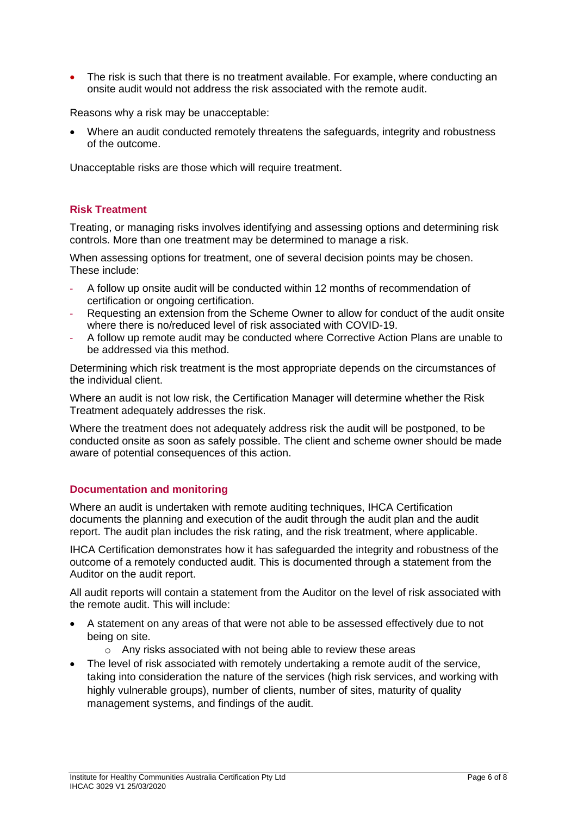• The risk is such that there is no treatment available. For example, where conducting an onsite audit would not address the risk associated with the remote audit.

Reasons why a risk may be unacceptable:

• Where an audit conducted remotely threatens the safeguards, integrity and robustness of the outcome.

Unacceptable risks are those which will require treatment.

## **Risk Treatment**

Treating, or managing risks involves identifying and assessing options and determining risk controls. More than one treatment may be determined to manage a risk.

When assessing options for treatment, one of several decision points may be chosen. These include:

- ‐ A follow up onsite audit will be conducted within 12 months of recommendation of certification or ongoing certification.
- ‐ Requesting an extension from the Scheme Owner to allow for conduct of the audit onsite where there is no/reduced level of risk associated with COVID-19.
- ‐ A follow up remote audit may be conducted where Corrective Action Plans are unable to be addressed via this method.

Determining which risk treatment is the most appropriate depends on the circumstances of the individual client.

Where an audit is not low risk, the Certification Manager will determine whether the Risk Treatment adequately addresses the risk.

Where the treatment does not adequately address risk the audit will be postponed, to be conducted onsite as soon as safely possible. The client and scheme owner should be made aware of potential consequences of this action.

## **Documentation and monitoring**

Where an audit is undertaken with remote auditing techniques, IHCA Certification documents the planning and execution of the audit through the audit plan and the audit report. The audit plan includes the risk rating, and the risk treatment, where applicable.

IHCA Certification demonstrates how it has safeguarded the integrity and robustness of the outcome of a remotely conducted audit. This is documented through a statement from the Auditor on the audit report.

All audit reports will contain a statement from the Auditor on the level of risk associated with the remote audit. This will include:

- A statement on any areas of that were not able to be assessed effectively due to not being on site.
	- o Any risks associated with not being able to review these areas
- The level of risk associated with remotely undertaking a remote audit of the service, taking into consideration the nature of the services (high risk services, and working with highly vulnerable groups), number of clients, number of sites, maturity of quality management systems, and findings of the audit.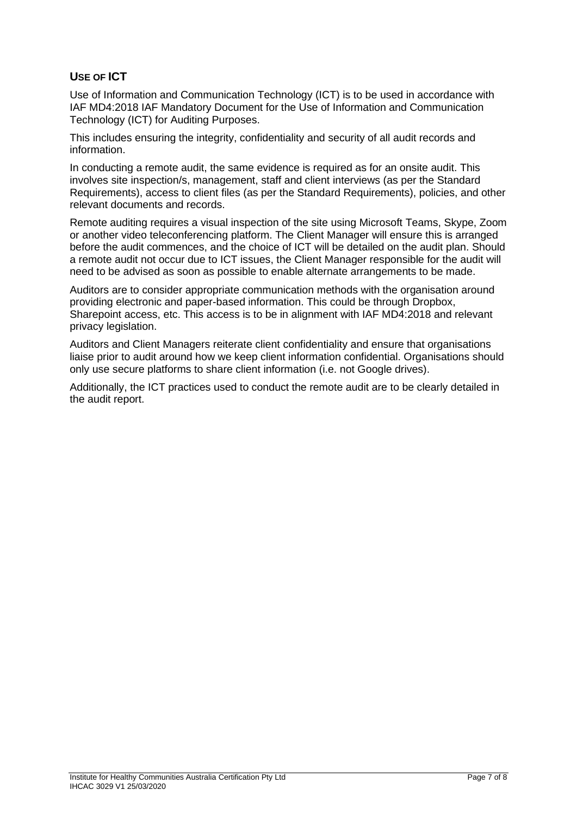# **USE OF ICT**

Use of Information and Communication Technology (ICT) is to be used in accordance with IAF MD4:2018 IAF Mandatory Document for the Use of Information and Communication Technology (ICT) for Auditing Purposes.

This includes ensuring the integrity, confidentiality and security of all audit records and information.

In conducting a remote audit, the same evidence is required as for an onsite audit. This involves site inspection/s, management, staff and client interviews (as per the Standard Requirements), access to client files (as per the Standard Requirements), policies, and other relevant documents and records.

Remote auditing requires a visual inspection of the site using Microsoft Teams, Skype, Zoom or another video teleconferencing platform. The Client Manager will ensure this is arranged before the audit commences, and the choice of ICT will be detailed on the audit plan. Should a remote audit not occur due to ICT issues, the Client Manager responsible for the audit will need to be advised as soon as possible to enable alternate arrangements to be made.

Auditors are to consider appropriate communication methods with the organisation around providing electronic and paper-based information. This could be through Dropbox, Sharepoint access, etc. This access is to be in alignment with IAF MD4:2018 and relevant privacy legislation.

Auditors and Client Managers reiterate client confidentiality and ensure that organisations liaise prior to audit around how we keep client information confidential. Organisations should only use secure platforms to share client information (i.e. not Google drives).

Additionally, the ICT practices used to conduct the remote audit are to be clearly detailed in the audit report.